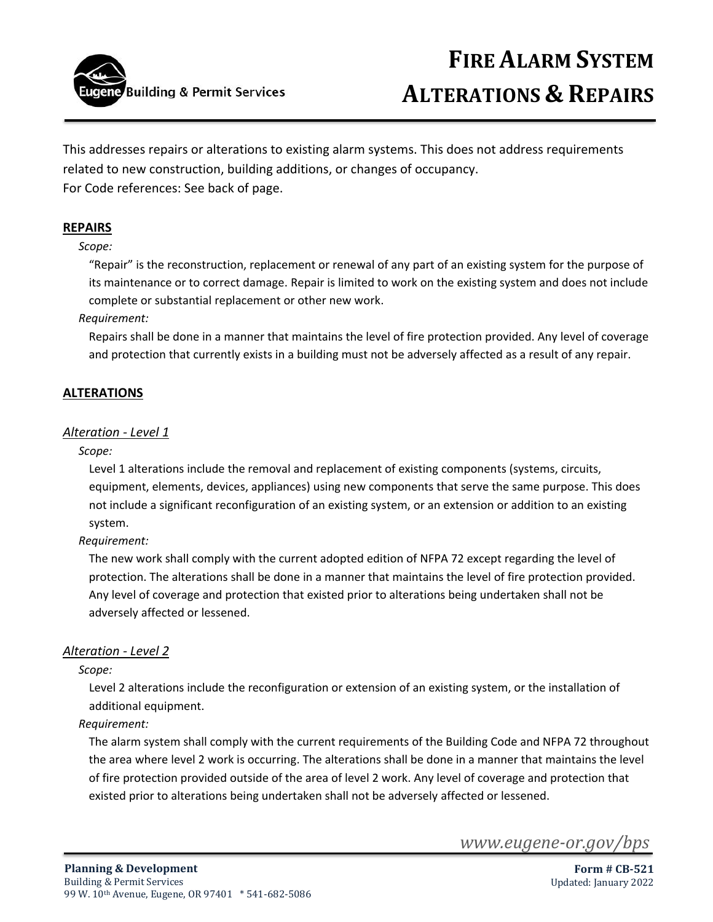

This addresses repairs or alterations to existing alarm systems. This does not address requirements related to new construction, building additions, or changes of occupancy. For Code references: See back of page.

## **REPAIRS**

### *Scope:*

"Repair" is the reconstruction, replacement or renewal of any part of an existing system for the purpose of its maintenance or to correct damage. Repair is limited to work on the existing system and does not include complete or substantial replacement or other new work.

### *Requirement:*

Repairs shall be done in a manner that maintains the level of fire protection provided. Any level of coverage and protection that currently exists in a building must not be adversely affected as a result of any repair.

## **ALTERATIONS**

#### *Alteration - Level 1*

#### *Scope:*

Level 1 alterations include the removal and replacement of existing components (systems, circuits, equipment, elements, devices, appliances) using new components that serve the same purpose. This does not include a significant reconfiguration of an existing system, or an extension or addition to an existing system.

#### *Requirement:*

The new work shall comply with the current adopted edition of NFPA 72 except regarding the level of protection. The alterations shall be done in a manner that maintains the level of fire protection provided. Any level of coverage and protection that existed prior to alterations being undertaken shall not be adversely affected or lessened.

#### *Alteration - Level 2*

#### *Scope:*

Level 2 alterations include the reconfiguration or extension of an existing system, or the installation of additional equipment.

## *Requirement:*

The alarm system shall comply with the current requirements of the Building Code and NFPA 72 throughout the area where level 2 work is occurring. The alterations shall be done in a manner that maintains the level of fire protection provided outside of the area of level 2 work. Any level of coverage and protection that existed prior to alterations being undertaken shall not be adversely affected or lessened.

*www.eugene-or.gov/bps*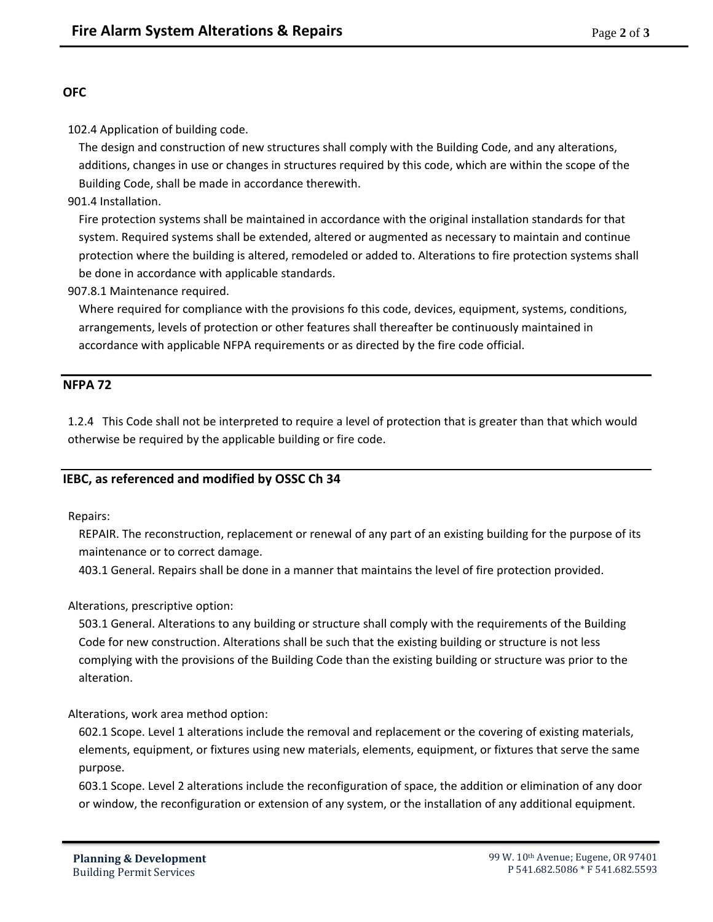# **OFC**

102.4 Application of building code.

The design and construction of new structures shall comply with the Building Code, and any alterations, additions, changes in use or changes in structures required by this code, which are within the scope of the Building Code, shall be made in accordance therewith.

901.4 Installation.

Fire protection systems shall be maintained in accordance with the original installation standards for that system. Required systems shall be extended, altered or augmented as necessary to maintain and continue protection where the building is altered, remodeled or added to. Alterations to fire protection systems shall be done in accordance with applicable standards.

907.8.1 Maintenance required.

Where required for compliance with the provisions fo this code, devices, equipment, systems, conditions, arrangements, levels of protection or other features shall thereafter be continuously maintained in accordance with applicable NFPA requirements or as directed by the fire code official.

# **NFPA 72**

1.2.4 This Code shall not be interpreted to require a level of protection that is greater than that which would otherwise be required by the applicable building or fire code.

# **IEBC, as referenced and modified by OSSC Ch 34**

Repairs:

REPAIR. The reconstruction, replacement or renewal of any part of an existing building for the purpose of its maintenance or to correct damage.

403.1 General. Repairs shall be done in a manner that maintains the level of fire protection provided.

Alterations, prescriptive option:

503.1 General. Alterations to any building or structure shall comply with the requirements of the Building Code for new construction. Alterations shall be such that the existing building or structure is not less complying with the provisions of the Building Code than the existing building or structure was prior to the alteration.

Alterations, work area method option:

602.1 Scope. Level 1 alterations include the removal and replacement or the covering of existing materials, elements, equipment, or fixtures using new materials, elements, equipment, or fixtures that serve the same purpose.

603.1 Scope. Level 2 alterations include the reconfiguration of space, the addition or elimination of any door or window, the reconfiguration or extension of any system, or the installation of any additional equipment.